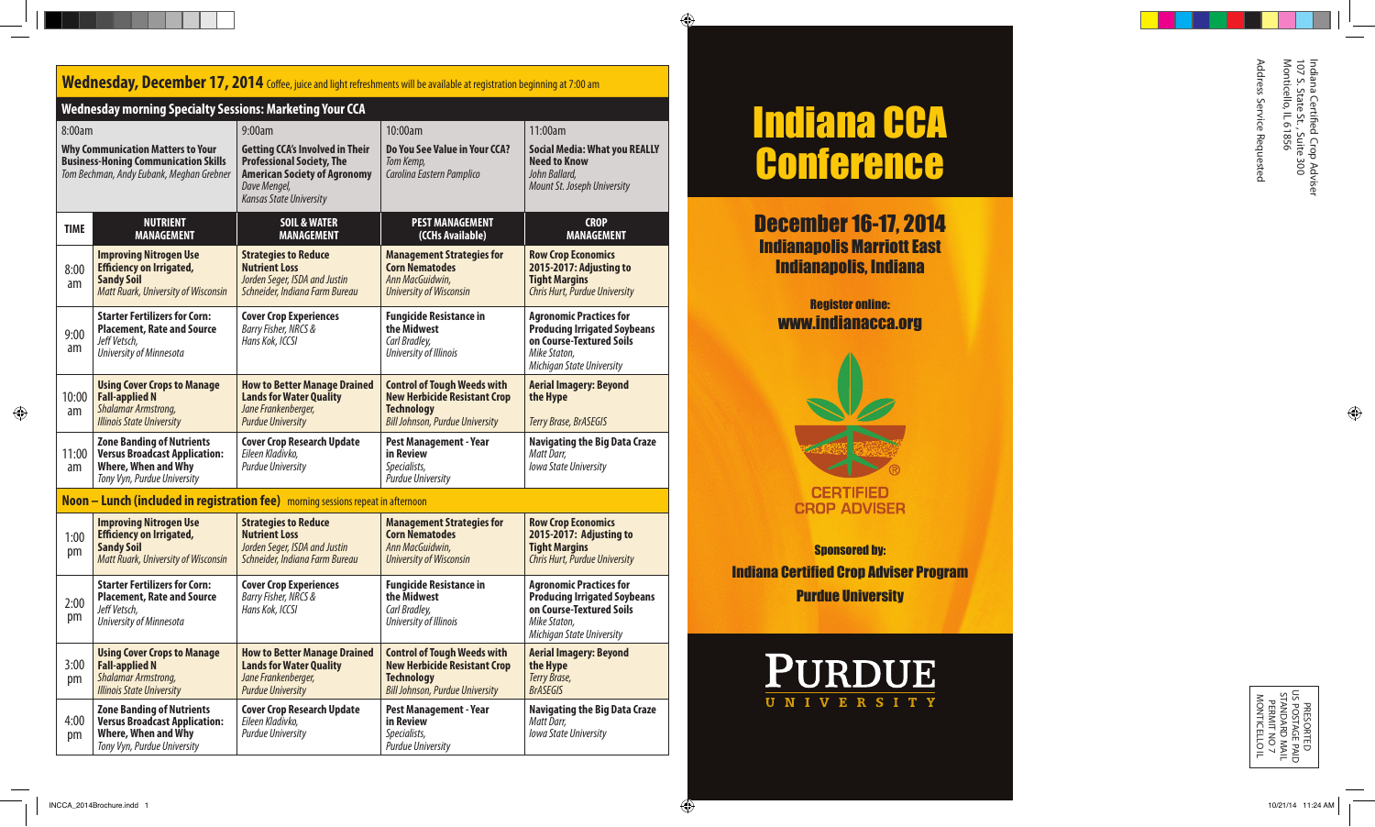# Wednesday, December 17, 2014 Coffee, juice and light refreshments will be available at registration beginning at 7:00 am

|                                                                                                                                               | <b>Wednesday morning Specialty Sessions: Marketing Your CCA</b>                                                                     |                                                                                                                                                                     |                                                                                                                                          |                                                                                                                                                |
|-----------------------------------------------------------------------------------------------------------------------------------------------|-------------------------------------------------------------------------------------------------------------------------------------|---------------------------------------------------------------------------------------------------------------------------------------------------------------------|------------------------------------------------------------------------------------------------------------------------------------------|------------------------------------------------------------------------------------------------------------------------------------------------|
| 8:00am<br><b>Why Communication Matters to Your</b><br><b>Business-Honing Communication Skills</b><br>Tom Bechman, Andy Eubank, Meghan Grebner |                                                                                                                                     | 9:00am                                                                                                                                                              | 10:00am                                                                                                                                  | 11:00am                                                                                                                                        |
|                                                                                                                                               |                                                                                                                                     | <b>Getting CCA's Involved in Their</b><br><b>Professional Society, The</b><br><b>American Society of Agronomy</b><br>Dave Mengel,<br><b>Kansas State University</b> | Do You See Value in Your CCA?<br>Tom Kemp,<br>Carolina Eastern Pamplico                                                                  | <b>Social Media: What you REALLY</b><br><b>Need to Know</b><br>John Ballard,<br>Mount St. Joseph University                                    |
| <b>TIME</b>                                                                                                                                   | <b>NUTRIENT</b><br><b>MANAGEMENT</b>                                                                                                | <b>SOIL &amp; WATER</b><br><b>MANAGEMENT</b>                                                                                                                        | <b>PEST MANAGEMENT</b><br>(CCHs Available)                                                                                               | <b>CROP</b><br><b>MANAGEMENT</b>                                                                                                               |
| 8:00<br>am                                                                                                                                    | <b>Improving Nitrogen Use</b><br><b>Efficiency on Irrigated,</b><br><b>Sandy Soil</b><br><b>Matt Ruark, University of Wisconsin</b> | <b>Strategies to Reduce</b><br><b>Nutrient Loss</b><br>Jorden Seger, ISDA and Justin<br>Schneider, Indiana Farm Bureau                                              | <b>Management Strategies for</b><br><b>Corn Nematodes</b><br>Ann MacGuidwin,<br><b>University of Wisconsin</b>                           | <b>Row Crop Economics</b><br>2015-2017: Adjusting to<br><b>Tight Margins</b><br>Chris Hurt, Purdue University                                  |
| 9:00<br>am                                                                                                                                    | <b>Starter Fertilizers for Corn:</b><br><b>Placement, Rate and Source</b><br>Jeff Vetsch,<br>University of Minnesota                | <b>Cover Crop Experiences</b><br>Barry Fisher, NRCS &<br>Hans Kok, ICCSI                                                                                            | <b>Fungicide Resistance in</b><br>the Midwest<br>Carl Bradley,<br>University of Illinois                                                 | <b>Agronomic Practices for</b><br><b>Producing Irrigated Soybeans</b><br>on Course-Textured Soils<br>Mike Staton.<br>Michigan State University |
| 10:00<br>am                                                                                                                                   | <b>Using Cover Crops to Manage</b><br><b>Fall-applied N</b><br>Shalamar Armstrong,<br><b>Illinois State University</b>              | <b>How to Better Manage Drained</b><br><b>Lands for Water Quality</b><br>Jane Frankenberger,<br><b>Purdue University</b>                                            | <b>Control of Tough Weeds with</b><br><b>New Herbicide Resistant Crop</b><br><b>Technology</b><br><b>Bill Johnson, Purdue University</b> | <b>Aerial Imagery: Beyond</b><br>the Hype<br>Terry Brase, BrASEGIS                                                                             |
| 11:00<br>am                                                                                                                                   | <b>Zone Banding of Nutrients</b><br><b>Versus Broadcast Application:</b><br>Where, When and Why<br>Tony Vyn, Purdue University      | <b>Cover Crop Research Update</b><br>Eileen Kladivko,<br><b>Purdue University</b>                                                                                   | <b>Pest Management - Year</b><br>in Review<br>Specialists,<br><b>Purdue University</b>                                                   | <b>Navigating the Big Data Craze</b><br>Matt Darr,<br><b>Iowa State University</b>                                                             |

## **Noon – Lunch (included in registration fee)** morning sessions repeat in afternoon

| 1:00<br>pm | <b>Improving Nitrogen Use</b><br><b>Efficiency on Irrigated,</b><br><b>Sandy Soil</b><br><b>Matt Ruark, University of Wisconsin</b> | <b>Strategies to Reduce</b><br><b>Nutrient Loss</b><br>Jorden Seger, ISDA and Justin<br>Schneider, Indiana Farm Bureau   | <b>Management Strategies for</b><br><b>Corn Nematodes</b><br>Ann MacGuidwin.<br><b>University of Wisconsin</b>                           | <b>Row Crop Economics</b><br>2015-2017: Adjusting to<br><b>Tight Margins</b><br>Chris Hurt, Purdue University                                  |
|------------|-------------------------------------------------------------------------------------------------------------------------------------|--------------------------------------------------------------------------------------------------------------------------|------------------------------------------------------------------------------------------------------------------------------------------|------------------------------------------------------------------------------------------------------------------------------------------------|
| 2:00<br>pm | <b>Starter Fertilizers for Corn:</b><br><b>Placement, Rate and Source</b><br>Jeff Vetsch,<br>University of Minnesota                | <b>Cover Crop Experiences</b><br>Barry Fisher, NRCS &<br>Hans Kok, ICCSI                                                 | <b>Fungicide Resistance in</b><br>the Midwest<br>Carl Bradley,<br>University of Illinois                                                 | <b>Agronomic Practices for</b><br><b>Producing Irrigated Soybeans</b><br>on Course-Textured Soils<br>Mike Staton.<br>Michigan State University |
| 3:00<br>pm | <b>Using Cover Crops to Manage</b><br><b>Fall-applied N</b><br><b>Shalamar Armstrong,</b><br><b>Illinois State University</b>       | <b>How to Better Manage Drained</b><br><b>Lands for Water Quality</b><br>Jane Frankenberger,<br><b>Purdue University</b> | <b>Control of Tough Weeds with</b><br><b>New Herbicide Resistant Crop</b><br><b>Technology</b><br><b>Bill Johnson, Purdue University</b> | <b>Aerial Imagery: Beyond</b><br>the Hype<br>Terry Brase,<br><b>BrASEGIS</b>                                                                   |
| 4:00<br>pm | <b>Zone Banding of Nutrients</b><br><b>Versus Broadcast Application:</b><br>Where, When and Why<br>Tony Vyn, Purdue University      | <b>Cover Crop Research Update</b><br>Eileen Kladivko.<br><b>Purdue University</b>                                        | <b>Pest Management - Year</b><br>in Review<br>Specialists,<br><b>Purdue University</b>                                                   | <b>Navigating the Big Data Craze</b><br>Matt Darr.<br><b>Iowa State University</b>                                                             |

# Indiana CCA **Conference**

December 16-17, 2014 Indianapolis Marriott East Indianapolis, Indiana

> Register online: www.indianacca.org



**CERTIFIED CROP ADVISER** 

**Sponsored by:** Indiana Certified Crop Adviser Program Purdue University



Indiana Certified Crop Adviser